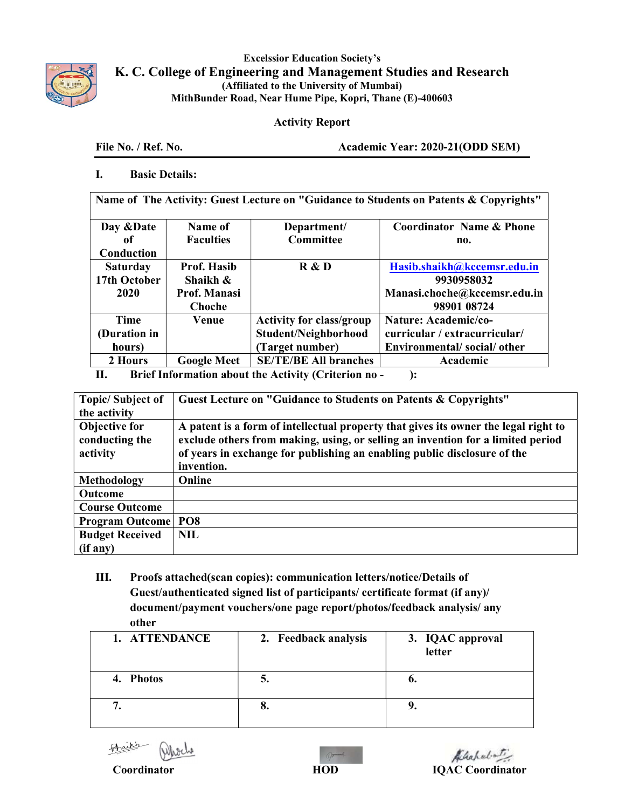

Excelssior Education Society's K. C. College of Engineering and Management Studies and Research (Affiliated to the University of Mumbai) MithBunder Road, Near Hume Pipe, Kopri, Thane (E)-400603

## Activity Report

File No. / Ref. No. Academic Year: 2020-21(ODD SEM)

## I. Basic Details:

Name of The Activity: Guest Lecture on "Guidance to Students on Patents & Copyrights"

| Day & Date          | Name of             | Department/                     | <b>Coordinator Name &amp; Phone</b> |  |
|---------------------|---------------------|---------------------------------|-------------------------------------|--|
| оf                  | <b>Faculties</b>    | Committee                       | no.                                 |  |
| Conduction          |                     |                                 |                                     |  |
| <b>Saturday</b>     | Prof. Hasib         | R & D                           | Hasib.shaikh@kccemsr.edu.in         |  |
| 17th October        | Shaikh &            |                                 | 9930958032                          |  |
| 2020                | <b>Prof. Manasi</b> |                                 | Manasi.choche@kccemsr.edu.in        |  |
|                     | Choche              |                                 | 98901 08724                         |  |
| Time                | Venue               | <b>Activity for class/group</b> | Nature: Academic/co-                |  |
| (Duration in        |                     | Student/Neighborhood            | curricular / extracurricular/       |  |
| hours)              |                     | (Target number)                 | Environmental/social/other          |  |
| 2 Hours             | <b>Google Meet</b>  | <b>SE/TE/BE All branches</b>    | Academic                            |  |
| <b>DECK COMPANY</b> |                     |                                 |                                     |  |

II. Brief Information about the Activity (Criterion no - ):

| <b>Topic/Subject of</b>         | Guest Lecture on "Guidance to Students on Patents & Copyrights"                                                                                                        |  |  |
|---------------------------------|------------------------------------------------------------------------------------------------------------------------------------------------------------------------|--|--|
| the activity                    |                                                                                                                                                                        |  |  |
| Objective for<br>conducting the | A patent is a form of intellectual property that gives its owner the legal right to<br>exclude others from making, using, or selling an invention for a limited period |  |  |
| activity                        | of years in exchange for publishing an enabling public disclosure of the                                                                                               |  |  |
|                                 | invention.                                                                                                                                                             |  |  |
| Methodology                     | Online                                                                                                                                                                 |  |  |
| Outcome                         |                                                                                                                                                                        |  |  |
| <b>Course Outcome</b>           |                                                                                                                                                                        |  |  |
| <b>Program Outcome</b>          | PO <sub>8</sub>                                                                                                                                                        |  |  |
| <b>Budget Received</b>          | <b>NIL</b>                                                                                                                                                             |  |  |
| (if any)                        |                                                                                                                                                                        |  |  |

III. Proofs attached(scan copies): communication letters/notice/Details of Guest/authenticated signed list of participants/ certificate format (if any)/ document/payment vouchers/one page report/photos/feedback analysis/ any other

| 1. ATTENDANCE | 2. Feedback analysis | 3. IQAC approval<br>letter |
|---------------|----------------------|----------------------------|
| 4. Photos     | J.                   | v.                         |
|               | o.                   |                            |

Braikb  $\frac{1}{2}$ 



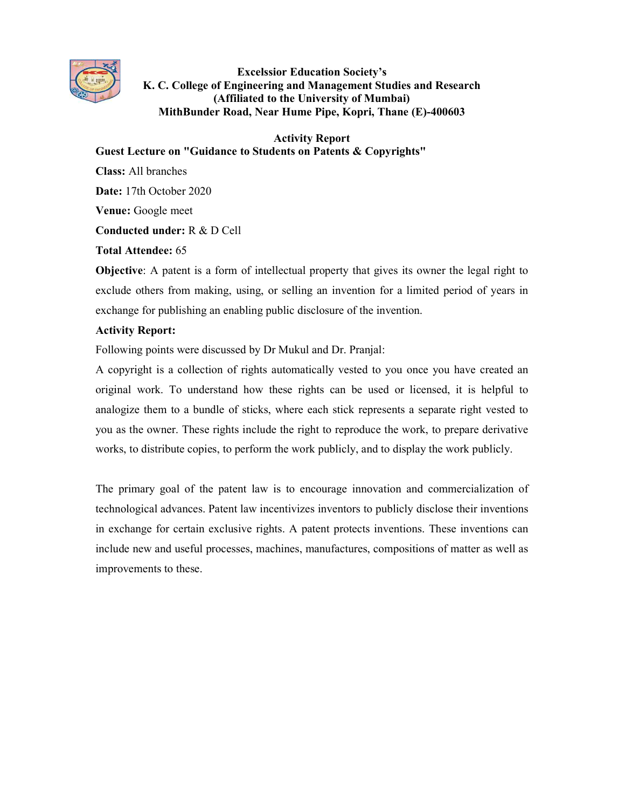

Excelssior Education Society's K. C. College of Engineering and Management Studies and Research (Affiliated to the University of Mumbai) MithBunder Road, Near Hume Pipe, Kopri, Thane (E)-400603

Activity Report

Guest Lecture on "Guidance to Students on Patents & Copyrights"

Class: All branches Date: 17th October 2020 Venue: Google meet Conducted under: R & D Cell Total Attendee: 65

Objective: A patent is a form of intellectual property that gives its owner the legal right to exclude others from making, using, or selling an invention for a limited period of years in exchange for publishing an enabling public disclosure of the invention.

## Activity Report:

Following points were discussed by Dr Mukul and Dr. Pranjal:

A copyright is a collection of rights automatically vested to you once you have created an original work. To understand how these rights can be used or licensed, it is helpful to analogize them to a bundle of sticks, where each stick represents a separate right vested to you as the owner. These rights include the right to reproduce the work, to prepare derivative works, to distribute copies, to perform the work publicly, and to display the work publicly.

The primary goal of the patent law is to encourage innovation and commercialization of technological advances. Patent law incentivizes inventors to publicly disclose their inventions in exchange for certain exclusive rights. A patent protects inventions. These inventions can include new and useful processes, machines, manufactures, compositions of matter as well as improvements to these.